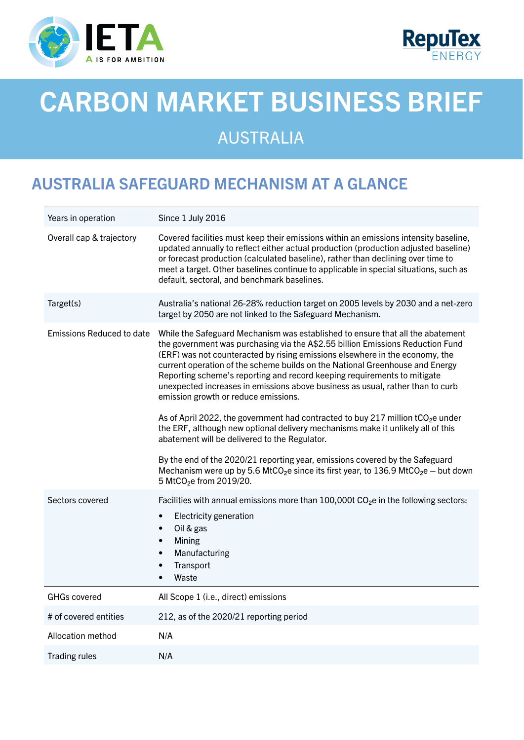



# CARBON MARKET BUSINESS BRIEF

## AUSTRALIA

## AUSTRALIA SAFEGUARD MECHANISM AT A GLANCE

| Years in operation               | Since 1 July 2016                                                                                                                                                                                                                                                                                                                                                                                                                                                                                                                                                                                                                                                                                                                                                                                                                                                                                                                                                                                   |
|----------------------------------|-----------------------------------------------------------------------------------------------------------------------------------------------------------------------------------------------------------------------------------------------------------------------------------------------------------------------------------------------------------------------------------------------------------------------------------------------------------------------------------------------------------------------------------------------------------------------------------------------------------------------------------------------------------------------------------------------------------------------------------------------------------------------------------------------------------------------------------------------------------------------------------------------------------------------------------------------------------------------------------------------------|
| Overall cap & trajectory         | Covered facilities must keep their emissions within an emissions intensity baseline,<br>updated annually to reflect either actual production (production adjusted baseline)<br>or forecast production (calculated baseline), rather than declining over time to<br>meet a target. Other baselines continue to applicable in special situations, such as<br>default, sectoral, and benchmark baselines.                                                                                                                                                                                                                                                                                                                                                                                                                                                                                                                                                                                              |
| Target(s)                        | Australia's national 26-28% reduction target on 2005 levels by 2030 and a net-zero<br>target by 2050 are not linked to the Safeguard Mechanism.                                                                                                                                                                                                                                                                                                                                                                                                                                                                                                                                                                                                                                                                                                                                                                                                                                                     |
| <b>Emissions Reduced to date</b> | While the Safeguard Mechanism was established to ensure that all the abatement<br>the government was purchasing via the A\$2.55 billion Emissions Reduction Fund<br>(ERF) was not counteracted by rising emissions elsewhere in the economy, the<br>current operation of the scheme builds on the National Greenhouse and Energy<br>Reporting scheme's reporting and record keeping requirements to mitigate<br>unexpected increases in emissions above business as usual, rather than to curb<br>emission growth or reduce emissions.<br>As of April 2022, the government had contracted to buy 217 million $tCO2e$ under<br>the ERF, although new optional delivery mechanisms make it unlikely all of this<br>abatement will be delivered to the Regulator.<br>By the end of the 2020/21 reporting year, emissions covered by the Safeguard<br>Mechanism were up by 5.6 MtCO <sub>2</sub> e since its first year, to 136.9 MtCO <sub>2</sub> e - but down<br>5 MtCO <sub>2</sub> e from 2019/20. |
| Sectors covered                  | Facilities with annual emissions more than $100,000t$ CO <sub>2</sub> e in the following sectors:<br>Electricity generation<br>$\bullet$<br>Oil & gas<br>$\bullet$<br>Mining<br>$\bullet$<br>Manufacturing<br>$\bullet$<br>Transport<br>$\bullet$<br>Waste<br>$\bullet$                                                                                                                                                                                                                                                                                                                                                                                                                                                                                                                                                                                                                                                                                                                             |
| <b>GHGs covered</b>              | All Scope 1 (i.e., direct) emissions                                                                                                                                                                                                                                                                                                                                                                                                                                                                                                                                                                                                                                                                                                                                                                                                                                                                                                                                                                |
| # of covered entities            | 212, as of the 2020/21 reporting period                                                                                                                                                                                                                                                                                                                                                                                                                                                                                                                                                                                                                                                                                                                                                                                                                                                                                                                                                             |
| Allocation method                | N/A                                                                                                                                                                                                                                                                                                                                                                                                                                                                                                                                                                                                                                                                                                                                                                                                                                                                                                                                                                                                 |
| <b>Trading rules</b>             | N/A                                                                                                                                                                                                                                                                                                                                                                                                                                                                                                                                                                                                                                                                                                                                                                                                                                                                                                                                                                                                 |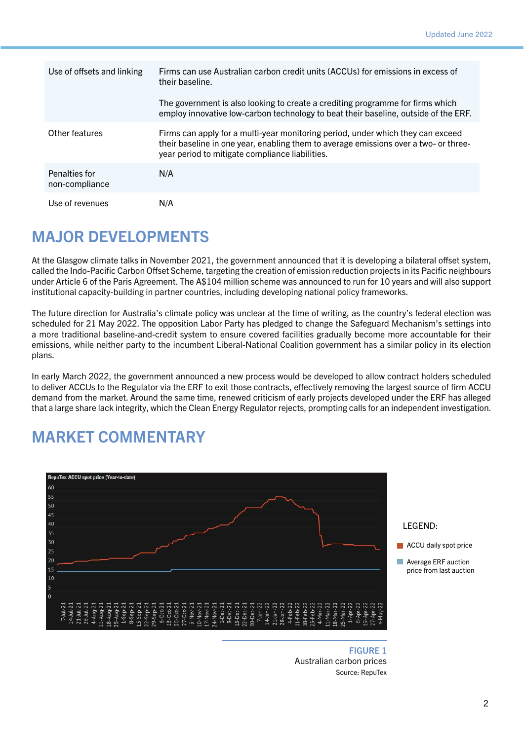| Use of offsets and linking      | Firms can use Australian carbon credit units (ACCUs) for emissions in excess of<br>their baseline.                                                                                                                         |
|---------------------------------|----------------------------------------------------------------------------------------------------------------------------------------------------------------------------------------------------------------------------|
|                                 | The government is also looking to create a crediting programme for firms which<br>employ innovative low-carbon technology to beat their baseline, outside of the ERF.                                                      |
| Other features                  | Firms can apply for a multi-year monitoring period, under which they can exceed<br>their baseline in one year, enabling them to average emissions over a two- or three-<br>year period to mitigate compliance liabilities. |
| Penalties for<br>non-compliance | N/A                                                                                                                                                                                                                        |
| Use of revenues                 | N/A                                                                                                                                                                                                                        |

#### MAJOR DEVELOPMENTS

At the Glasgow climate talks in November 2021, the government announced that it is developing a bilateral offset system, called the Indo-Pacific Carbon Offset Scheme, targeting the creation of emission reduction projects in its Pacific neighbours under Article 6 of the Paris Agreement. The A\$104 million scheme was announced to run for 10 years and will also support institutional capacity-building in partner countries, including developing national policy frameworks.

The future direction for Australia's climate policy was unclear at the time of writing, as the country's federal election was scheduled for 21 May 2022. The opposition Labor Party has pledged to change the Safeguard Mechanism's settings into a more traditional baseline-and-credit system to ensure covered facilities gradually become more accountable for their emissions, while neither party to the incumbent Liberal-National Coalition government has a similar policy in its election plans.

In early March 2022, the government announced a new process would be developed to allow contract holders scheduled to deliver ACCUs to the Regulator via the ERF to exit those contracts, effectively removing the largest source of firm ACCU demand from the market. Around the same time, renewed criticism of early projects developed under the ERF has alleged that a large share lack integrity, which the Clean Energy Regulator rejects, prompting calls for an independent investigation.

#### MARKET COMMENTARY



LEGEND:

**ACCU** daily spot price

**Average ERF auction** price from last auction